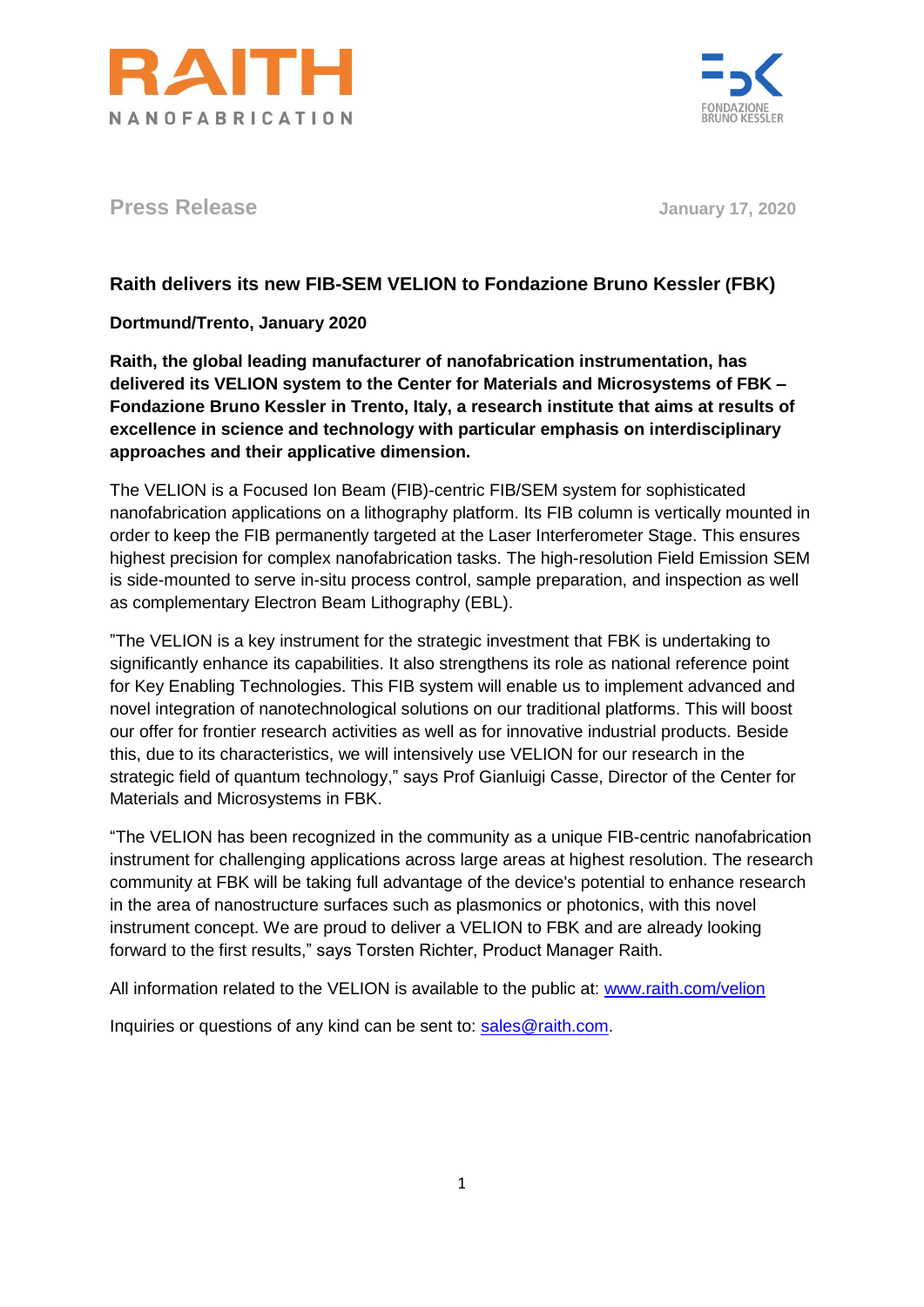



**Press Release January 17, 2020**

## **Raith delivers its new FIB-SEM VELION to Fondazione Bruno Kessler (FBK)**

**Dortmund/Trento, January 2020**

**Raith, the global leading manufacturer of nanofabrication instrumentation, has delivered its VELION system to the Center for Materials and Microsystems of FBK – Fondazione Bruno Kessler in Trento, Italy, a research institute that aims at results of excellence in science and technology with particular emphasis on interdisciplinary approaches and their applicative dimension.**

The VELION is a Focused Ion Beam (FIB)-centric FIB/SEM system for sophisticated nanofabrication applications on a lithography platform. Its FIB column is vertically mounted in order to keep the FIB permanently targeted at the Laser Interferometer Stage. This ensures highest precision for complex nanofabrication tasks. The high-resolution Field Emission SEM is side-mounted to serve in-situ process control, sample preparation, and inspection as well as complementary Electron Beam Lithography (EBL).

"The VELION is a key instrument for the strategic investment that FBK is undertaking to significantly enhance its capabilities. It also strengthens its role as national reference point for Key Enabling Technologies. This FIB system will enable us to implement advanced and novel integration of nanotechnological solutions on our traditional platforms. This will boost our offer for frontier research activities as well as for innovative industrial products. Beside this, due to its characteristics, we will intensively use VELION for our research in the strategic field of quantum technology," says Prof Gianluigi Casse, Director of the Center for Materials and Microsystems in FBK.

"The VELION has been recognized in the community as a unique FIB-centric nanofabrication instrument for challenging applications across large areas at highest resolution. The research community at FBK will be taking full advantage of the device's potential to enhance research in the area of nanostructure surfaces such as plasmonics or photonics, with this novel instrument concept. We are proud to deliver a VELION to FBK and are already looking forward to the first results," says Torsten Richter, Product Manager Raith.

All information related to the VELION is available to the public at: [www.raith.com/velion](http://www.raith.com/velion)

Inquiries or questions of any kind can be sent to: [sales@raith.com.](mailto:sales@raith.com)